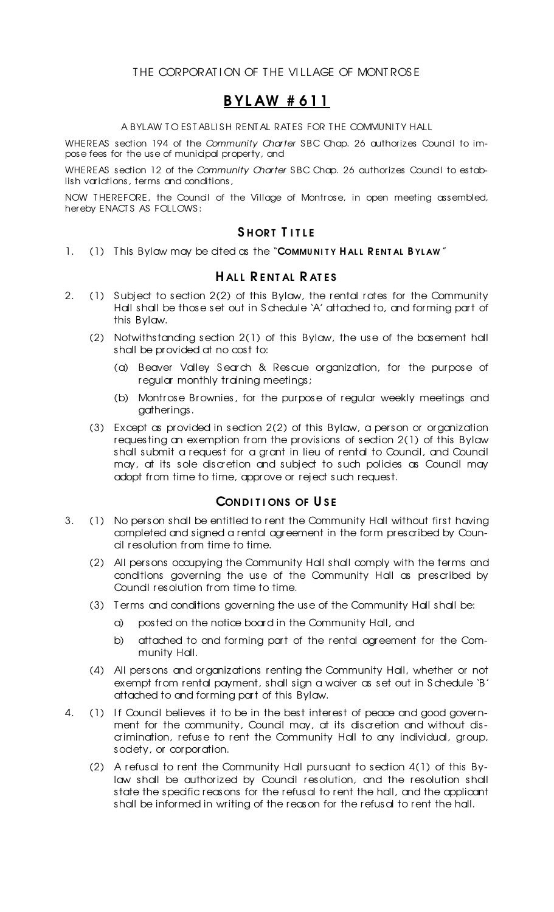# B YL AW # 611

#### A BYLAW TO ESTABLISH RENTAL RATES FOR THE COMMUNITY HALL

WHEREAS section 194 of the *Community Charter* SBC Chap. 26 authorizes Council to impose fees for the use of municipal property, and

WHEREAS section 12 of the *Community Charter* SBC Chap. 26 authorizes Council to establish variations, terms and conditions,

NOW T HEREFORE, the Council of the Village of Montrose, in open meeting assembled, hereby ENACT S AS FOLLOWS :

## SHORT TITLE

1. (1) This Bylaw may be cited as the "COMMUNITY HALL RENTAL BYLAW"

### HALL RENTAL RATES

- 2. (1) Subject to section 2(2) of this Bylaw, the rental rates for the Community Hall shall be those set out in S chedule 'A' attached to, and forming part of this Bylaw.
	- (2) Notwithstanding section 2(1) of this Bylaw, the use of the basement hall shall be provided at no cost to:
		- (a) Beaver Valley S earch & Rescue organization, for the purpose of regular monthly training meetings;
		- (b) Montrose Brownies, for the purpose of regular weekly meetings and gatherings.
	- (3) Except as provided in section 2(2) of this Bylaw, a person or organization requesting an exemption from the provisions of section 2(1) of this Bylaw shall submit a request for a grant in lieu of rental to Council, and Council may, at its sole discretion and subject to such policies as Council may adopt from time to time, approve or reject such request.

### CONDITIONS OF USE

- 3. (1) No person shall be entitled to rent the Community Hall without first having completed and signed a rental agreement in the form prescribed by Council resolution from time to time.
	- (2) All persons occupying the Community Hall shall comply with the terms and conditions governing the use of the Community Hall as prescribed by Council resolution from time to time.
	- (3) T erms and conditions governing the use of the Community Hall shall be:
		- a) posted on the notice board in the Community Hall, and
		- b) attached to and forming part of the rental agreement for the Community Hall.
	- (4) All persons and organizations renting the Community Hall, whether or not exempt from rental payment, shall sign a waiver as set out in Schedule 'B' attached to and forming part of this Bylaw.
- 4. (1) If Council believes it to be in the best interest of peace and good government for the community, Council may, at its discretion and without discrimination, refuse to rent the Community Hall to any individual, group, society, or corporation.
	- (2) A refusal to rent the Community Hall pursuant to section 4(1) of this Bylaw shall be authorized by Council resolution, and the resolution shall state the specific reasons for the refusal to rent the hall, and the applicant shall be informed in writing of the reason for the refusal to rent the hall.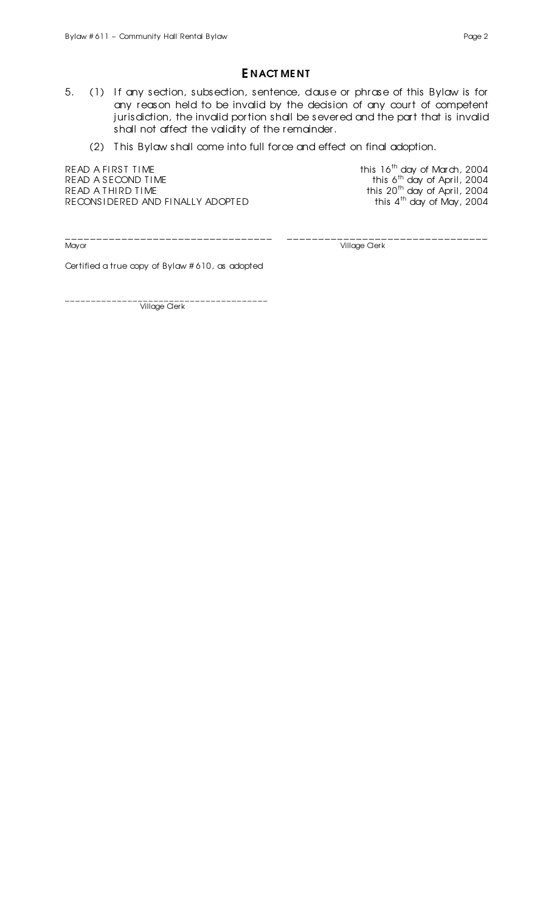### E NACT ME NT

- 5. (1) If any section, subsection, sentence, dause or phrase of this Bylaw is for any reason held to be invalid by the decision of any court of competent jurisdiction, the invalid portion shall be severed and the part that is invalid shall not affect the validity of the remainder.
	- (2) T his Bylaw shall come into full force and effect on final adoption.

READ A FIRST TIME  $\,$  this 16<sup>th</sup> day of March, 2004 READ A SECOND TIME READ A THIRD TIME  $\hbox{the}$ RECONSIDERED AND FINALLY ADOPTED

<sup>th</sup> day of April, 2004 this  $4^{\text{th}}$  day of May, 2004

\_\_\_\_\_\_\_\_\_\_\_\_\_\_\_\_\_\_\_\_\_\_\_\_\_\_\_\_\_\_\_\_\_ \_\_\_\_\_\_\_\_\_\_\_\_\_\_\_\_\_\_\_\_\_\_\_\_\_\_\_\_\_\_\_\_

Village Clerk

Certified a true copy of Bylaw # 610, as adopted

\_\_\_\_\_\_\_\_\_\_\_\_\_\_\_\_\_\_\_\_\_\_\_\_\_\_\_\_\_\_\_\_\_\_\_\_\_\_\_ Village Cler k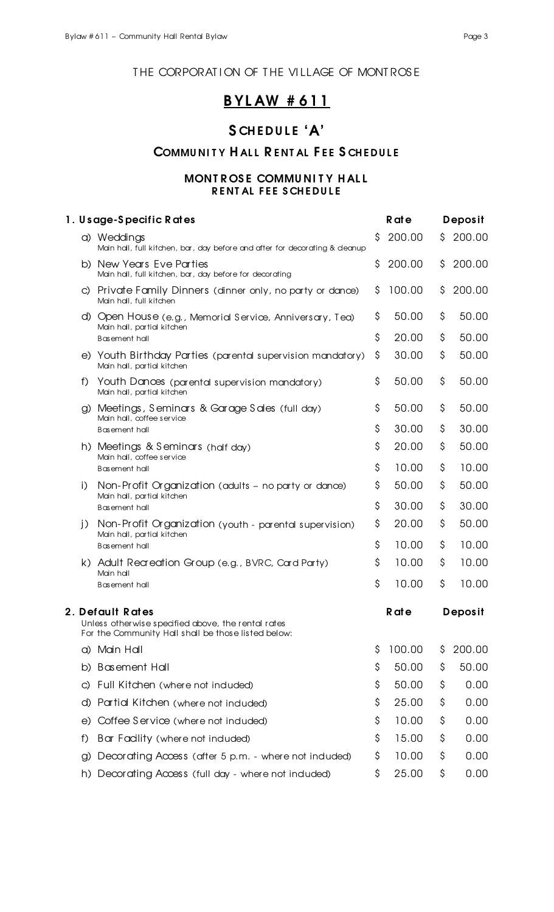### THE CORPORATION OF THE VILLAGE OF MONTROSE

# B YL AW # 611

# SCHEDULE 'A'

# COMMUNITY HALL RENTAL FEE SCHEDULE

### MONT ROSE COMMUNITY HALL RENTAL FEE SCHEDULE

| 1. Usage-Specific Rates |                                                                                                                               | <b>R</b> at e |                | Deposit  |                |
|-------------------------|-------------------------------------------------------------------------------------------------------------------------------|---------------|----------------|----------|----------------|
|                         | a) Weddings<br>Main hall, full kitchen, bar, day before and after for decorating & deanup                                     | \$            | 200.00         | S.       | 200.00         |
|                         | b) New Years Eve Parties<br>Main hall, full kitchen, bar, day before for decorating                                           | \$            | 200.00         | \$       | 200.00         |
|                         | c) Private Family Dinners (dinner only, no party or dance)<br>Main hall, full kitchen                                         | \$            | 100.00         | \$       | 200.00         |
|                         | d) Open House (e.g., Memorial Service, Anniversary, Tea)<br>Main hall, partial kitchen<br>Basement hall                       | \$<br>\$      | 50.00<br>20.00 | \$<br>\$ | 50.00<br>50.00 |
|                         | e) Youth Birthday Parties (parental supervision mandatory)<br>Main hall, partial kitchen                                      | \$            | 30.00          | \$       | 50.00          |
| f)                      | Youth Dances (parental supervision mandatory)<br>Main hall, partial kitchen                                                   | \$            | 50.00          | \$       | 50.00          |
|                         | Meetings, Seminars & Garage Sales (full day)<br>$\mathcal{Q}$<br>Main hall, coffee service                                    | \$            | 50.00          | \$       | 50.00          |
|                         | Basement hall                                                                                                                 | \$            | 30.00          | \$       | 30.00          |
|                         | h) Meetings & Seminars (half day)                                                                                             | \$            | 20.00          | \$       | 50.00          |
|                         | Main hall, coffee service<br><b>Basement hall</b>                                                                             | \$            | 10.00          | \$       | 10.00          |
| i)                      | Non-Profit Organization (adults - no party or dance)<br>Main hall, partial kitchen<br>Basement hall                           | \$            | 50.00          | \$       | 50.00          |
|                         |                                                                                                                               | \$            | 30.00          | \$       | 30.00          |
| j)                      | Non-Profit Organization (youth - parental supervision)                                                                        | \$            | 20.00          | \$       | 50.00          |
|                         | Main hall, partial kitchen<br>Basement hall                                                                                   | \$            | 10.00          | \$       | 10.00          |
|                         | k) Adult Recreation Group (e.g., BVRC, Card Party)                                                                            | \$            | 10.00          | \$       | 10.00          |
|                         | Main hall<br>Basement hall                                                                                                    | \$            | 10.00          | \$       | 10.00          |
|                         | 2. Default Rates<br>Unless otherwise specified above, the rental rates<br>For the Community Hall shall be those listed below: |               | <b>R</b> at e  |          | Deposit        |
|                         | Main Hall<br>CI)                                                                                                              | \$            | 100.00         | \$       | 200.00         |
|                         | <b>Basement Hall</b><br>b)                                                                                                    | \$            | 50.00          | \$       | 50.00          |
| C)                      | Full Kitchen (where not induded)                                                                                              | \$            | 50.00          | \$       | 0.00           |
|                         | Partial Kitchen (where not induded)<br>d)                                                                                     | \$            | 25.00          | \$       | 0.00           |
| e)                      | Coffee Service (where not induded)                                                                                            | \$            | 10.00          | \$       | 0.00           |
| f)                      | Bar Facility (where not induded)                                                                                              | \$            | 15.00          | \$       | 0.00           |
| $\lambda$               | Decorating Access (after 5 p.m. - where not induded)                                                                          | \$            | 10.00          | \$       | 0.00           |
|                         | Decorating Access (full day - where not induded)<br>h)                                                                        | \$            | 25.00          | \$       | 0.00           |